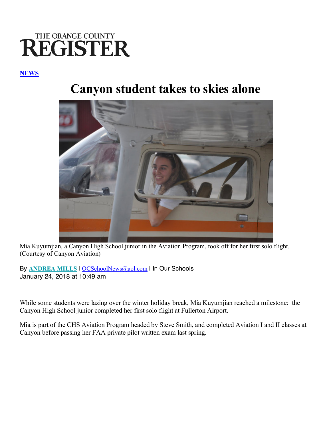## THE ORANGE COUNTY **REGISTER**

## **NEWS**

## **Canyon student takes to skies alone**



Mia Kuyumjian, a Canyon High School junior in the Aviation Program, took off for her first solo flight. (Courtesy of Canyon Aviation)

By **ANDREA MILLS** | OCSchoolNews@aol.com | In Our Schools January 24, 2018 at 10:49 am

While some students were lazing over the winter holiday break, Mia Kuyumjian reached a milestone: the Canyon High School junior completed her first solo flight at Fullerton Airport.

Mia is part of the CHS Aviation Program headed by Steve Smith, and completed Aviation I and II classes at Canyon before passing her FAA private pilot written exam last spring.